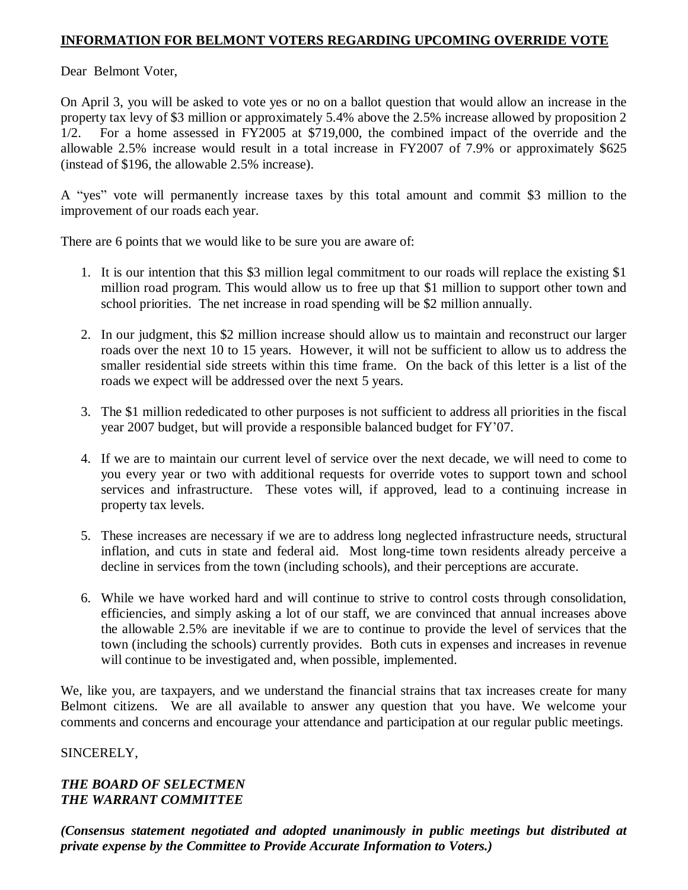## **INFORMATION FOR BELMONT VOTERS REGARDING UPCOMING OVERRIDE VOTE**

Dear Belmont Voter,

On April 3, you will be asked to vote yes or no on a ballot question that would allow an increase in the property tax levy of \$3 million or approximately 5.4% above the 2.5% increase allowed by proposition 2 1/2. For a home assessed in FY2005 at \$719,000, the combined impact of the override and the allowable 2.5% increase would result in a total increase in FY2007 of 7.9% or approximately \$625 (instead of \$196, the allowable 2.5% increase).

A "yes" vote will permanently increase taxes by this total amount and commit \$3 million to the improvement of our roads each year.

There are 6 points that we would like to be sure you are aware of:

- 1. It is our intention that this \$3 million legal commitment to our roads will replace the existing \$1 million road program. This would allow us to free up that \$1 million to support other town and school priorities. The net increase in road spending will be \$2 million annually.
- 2. In our judgment, this \$2 million increase should allow us to maintain and reconstruct our larger roads over the next 10 to 15 years. However, it will not be sufficient to allow us to address the smaller residential side streets within this time frame. On the back of this letter is a list of the roads we expect will be addressed over the next 5 years.
- 3. The \$1 million rededicated to other purposes is not sufficient to address all priorities in the fiscal year 2007 budget, but will provide a responsible balanced budget for FY'07.
- 4. If we are to maintain our current level of service over the next decade, we will need to come to you every year or two with additional requests for override votes to support town and school services and infrastructure. These votes will, if approved, lead to a continuing increase in property tax levels.
- 5. These increases are necessary if we are to address long neglected infrastructure needs, structural inflation, and cuts in state and federal aid. Most long-time town residents already perceive a decline in services from the town (including schools), and their perceptions are accurate.
- 6. While we have worked hard and will continue to strive to control costs through consolidation, efficiencies, and simply asking a lot of our staff, we are convinced that annual increases above the allowable 2.5% are inevitable if we are to continue to provide the level of services that the town (including the schools) currently provides. Both cuts in expenses and increases in revenue will continue to be investigated and, when possible, implemented.

We, like you, are taxpayers, and we understand the financial strains that tax increases create for many Belmont citizens. We are all available to answer any question that you have. We welcome your comments and concerns and encourage your attendance and participation at our regular public meetings.

### SINCERELY,

#### *THE BOARD OF SELECTMEN THE WARRANT COMMITTEE*

*(Consensus statement negotiated and adopted unanimously in public meetings but distributed at private expense by the Committee to Provide Accurate Information to Voters.)*